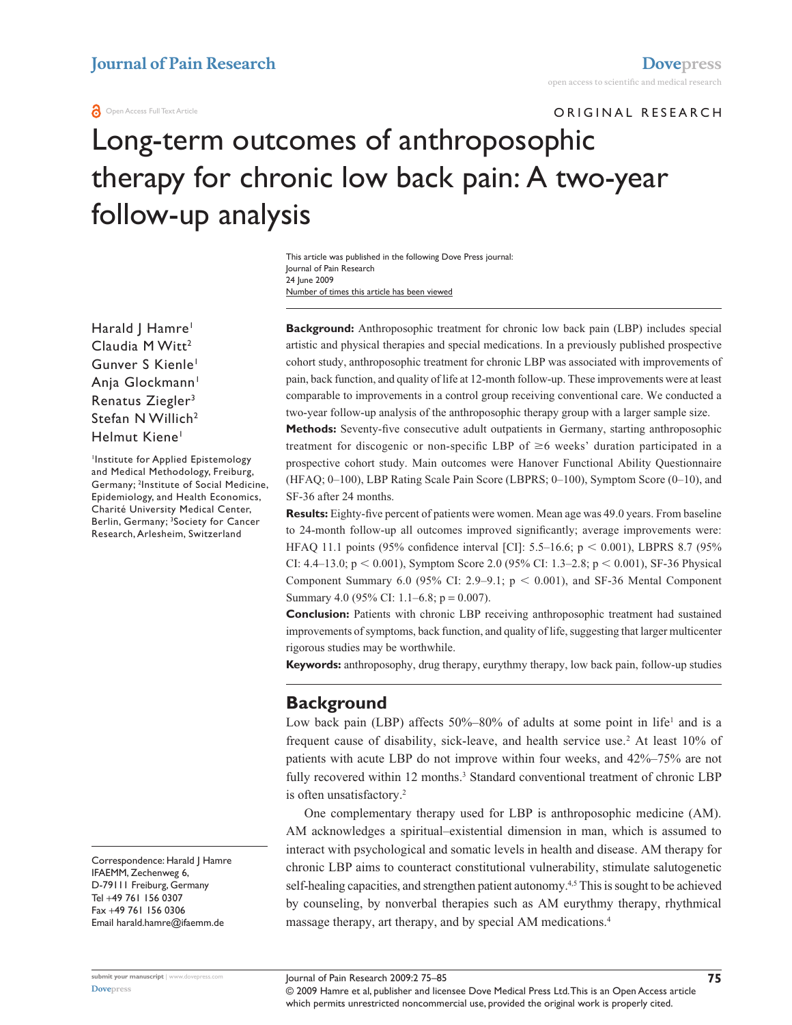#### **O** Open Access Full Text Article

ORIGINAL RESEARCH

# Long-term outcomes of anthroposophic therapy for chronic low back pain: A two-year follow-up analysis

Number of times this article has been viewed This article was published in the following Dove Press journal: Journal of Pain Research 24 June 2009

Harald | Hamre<sup>1</sup> Claudia M Witt<sup>2</sup> Gunver S Kienle<sup>1</sup> Anja Glockmann<sup>1</sup> Renatus Ziegler<sup>3</sup> Stefan N Willich<sup>2</sup> Helmut Kiene<sup>1</sup>

1 Institute for Applied Epistemology and Medical Methodology, Freiburg, Germany; 2 Institute of Social Medicine, Epidemiology, and Health Economics, Charité University Medical Center, Berlin, Germany; 3 Society for Cancer Research, Arlesheim, Switzerland

Correspondence: Harald J Hamre IFAEMM, Zechenweg 6, D-79111 Freiburg, Germany Tel +49 761 156 0307 Fax +49 761 156 0306 Email harald.hamre@ifaemm.de

**Background:** Anthroposophic treatment for chronic low back pain (LBP) includes special artistic and physical therapies and special medications. In a previously published prospective cohort study, anthroposophic treatment for chronic LBP was associated with improvements of pain, back function, and quality of life at 12-month follow-up. These improvements were at least comparable to improvements in a control group receiving conventional care. We conducted a two-year follow-up analysis of the anthroposophic therapy group with a larger sample size.

**Methods:** Seventy-five consecutive adult outpatients in Germany, starting anthroposophic treatment for discogenic or non-specific LBP of  $\geq$ 6 weeks' duration participated in a prospective cohort study. Main outcomes were Hanover Functional Ability Questionnaire (HFAQ; 0–100), LBP Rating Scale Pain Score (LBPRS; 0–100), Symptom Score (0–10), and SF-36 after 24 months.

**Results:** Eighty-five percent of patients were women. Mean age was 49.0 years. From baseline to 24-month follow-up all outcomes improved significantly; average improvements were: HFAQ 11.1 points (95% confidence interval [CI]: 5.5–16.6;  $p < 0.001$ ), LBPRS 8.7 (95% CI: 4.4–13.0;  $p \le 0.001$ ), Symptom Score 2.0 (95% CI: 1.3–2.8;  $p \le 0.001$ ), SF-36 Physical Component Summary 6.0 (95% CI: 2.9–9.1;  $p < 0.001$ ), and SF-36 Mental Component Summary 4.0 (95% CI: 1.1–6.8; p = 0.007).

**Conclusion:** Patients with chronic LBP receiving anthroposophic treatment had sustained improvements of symptoms, back function, and quality of life, suggesting that larger multicenter rigorous studies may be worthwhile.

**Keywords:** anthroposophy, drug therapy, eurythmy therapy, low back pain, follow-up studies

## **Background**

Low back pain (LBP) affects  $50\% - 80\%$  of adults at some point in life<sup>1</sup> and is a frequent cause of disability, sick-leave, and health service use.<sup>2</sup> At least 10% of patients with acute LBP do not improve within four weeks, and 42%–75% are not fully recovered within 12 months.<sup>3</sup> Standard conventional treatment of chronic LBP is often unsatisfactory.2

One complementary therapy used for LBP is anthroposophic medicine (AM). AM acknowledges a spiritual–existential dimension in man, which is assumed to interact with psychological and somatic levels in health and disease. AM therapy for chronic LBP aims to counteract constitutional vulnerability, stimulate salutogenetic self-healing capacities, and strengthen patient autonomy.<sup>4,5</sup> This is sought to be achieved by counseling, by nonverbal therapies such as AM eurythmy therapy, rhythmical massage therapy, art therapy, and by special AM medications.4

© 2009 Hamre et al, publisher and licensee Dove Medical Press Ltd. This is an Open Access article which permits unrestricted noncommercial use, provided the original work is properly cited.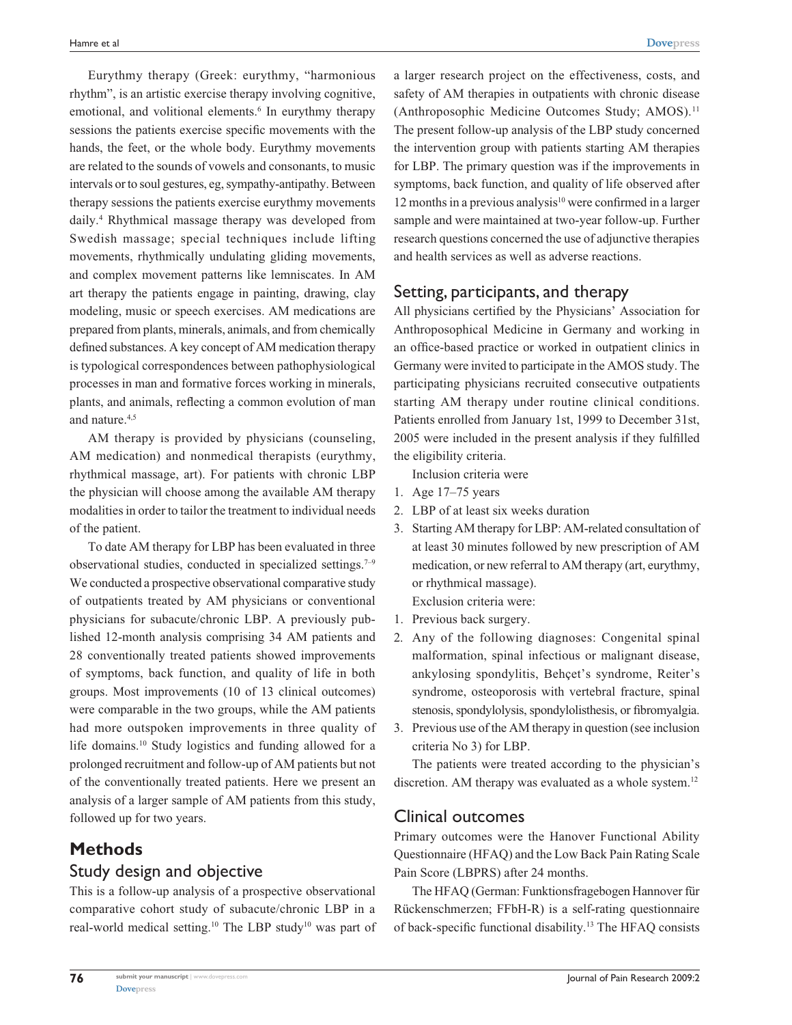Eurythmy therapy (Greek: eurythmy, "harmonious rhythm", is an artistic exercise therapy involving cognitive, emotional, and volitional elements.<sup>6</sup> In eurythmy therapy sessions the patients exercise specific movements with the hands, the feet, or the whole body. Eurythmy movements are related to the sounds of vowels and consonants, to music intervals or to soul gestures, eg, sympathy-antipathy. Between therapy sessions the patients exercise eurythmy movements daily.4 Rhythmical massage therapy was developed from Swedish massage; special techniques include lifting movements, rhythmically undulating gliding movements, and complex movement patterns like lemniscates. In AM art therapy the patients engage in painting, drawing, clay modeling, music or speech exercises. AM medications are prepared from plants, minerals, animals, and from chemically defined substances. A key concept of AM medication therapy is typological correspondences between pathophysiological processes in man and formative forces working in minerals, plants, and animals, reflecting a common evolution of man and nature.<sup>4,5</sup>

AM therapy is provided by physicians (counseling, AM medication) and nonmedical therapists (eurythmy, rhythmical massage, art). For patients with chronic LBP the physician will choose among the available AM therapy modalities in order to tailor the treatment to individual needs of the patient.

To date AM therapy for LBP has been evaluated in three observational studies, conducted in specialized settings.<sup> $7-9$ </sup> We conducted a prospective observational comparative study of outpatients treated by AM physicians or conventional physicians for subacute/chronic LBP. A previously published 12-month analysis comprising 34 AM patients and 28 conventionally treated patients showed improvements of symptoms, back function, and quality of life in both groups. Most improvements (10 of 13 clinical outcomes) were comparable in the two groups, while the AM patients had more outspoken improvements in three quality of life domains.10 Study logistics and funding allowed for a prolonged recruitment and follow-up of AM patients but not of the conventionally treated patients. Here we present an analysis of a larger sample of AM patients from this study, followed up for two years.

## **Methods**

#### Study design and objective

This is a follow-up analysis of a prospective observational comparative cohort study of subacute/chronic LBP in a real-world medical setting.<sup>10</sup> The LBP study<sup>10</sup> was part of a larger research project on the effectiveness, costs, and safety of AM therapies in outpatients with chronic disease (Anthroposophic Medicine Outcomes Study; AMOS).<sup>11</sup> The present follow-up analysis of the LBP study concerned the intervention group with patients starting AM therapies for LBP. The primary question was if the improvements in symptoms, back function, and quality of life observed after 12 months in a previous analysis $10$  were confirmed in a larger sample and were maintained at two-year follow-up. Further research questions concerned the use of adjunctive therapies and health services as well as adverse reactions.

#### Setting, participants, and therapy

All physicians certified by the Physicians' Association for Anthroposophical Medicine in Germany and working in an office-based practice or worked in outpatient clinics in Germany were invited to participate in the AMOS study. The participating physicians recruited consecutive outpatients starting AM therapy under routine clinical conditions. Patients enrolled from January 1st, 1999 to December 31st, 2005 were included in the present analysis if they fulfilled the eligibility criteria.

Inclusion criteria were

- 1. Age 17–75 years
- 2. LBP of at least six weeks duration
- 3. Starting AM therapy for LBP: AM-related consultation of at least 30 minutes followed by new prescription of AM medication, or new referral to AM therapy (art, eurythmy, or rhythmical massage).

Exclusion criteria were:

- 1. Previous back surgery.
- 2. Any of the following diagnoses: Congenital spinal malformation, spinal infectious or malignant disease, ankylosing spondylitis, Behçet's syndrome, Reiter's syndrome, osteoporosis with vertebral fracture, spinal stenosis, spondylolysis, spondylolisthesis, or fibromyalgia.
- 3. Previous use of the AM therapy in question (see inclusion criteria No 3) for LBP.

The patients were treated according to the physician's discretion. AM therapy was evaluated as a whole system.<sup>12</sup>

## Clinical outcomes

Primary outcomes were the Hanover Functional Ability Questionnaire (HFAQ) and the Low Back Pain Rating Scale Pain Score (LBPRS) after 24 months.

The HFAQ (German: Funktionsfragebogen Hannover für Rückenschmerzen; FFbH-R) is a self-rating questionnaire of back-specific functional disability.13 The HFAQ consists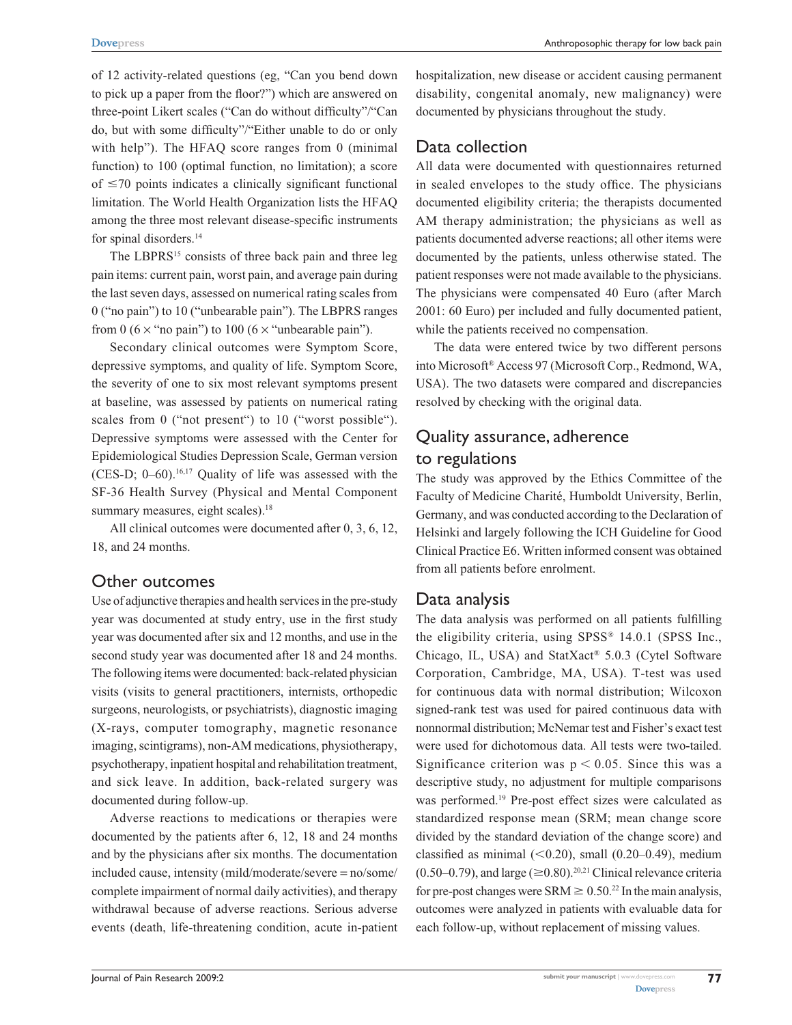**[Dovepress](www.dovepress.com) Constanting Anthroposophic therapy for low back pain** 

of 12 activity-related questions (eg, "Can you bend down to pick up a paper from the floor?") which are answered on three-point Likert scales ("Can do without difficulty"/"Can do, but with some difficulty"/"Either unable to do or only with help"). The HFAQ score ranges from 0 (minimal function) to 100 (optimal function, no limitation); a score of  $\leq$ 70 points indicates a clinically significant functional limitation. The World Health Organization lists the HFAQ among the three most relevant disease-specific instruments for spinal disorders.<sup>14</sup>

The LBPRS<sup>15</sup> consists of three back pain and three leg pain items: current pain, worst pain, and average pain during the last seven days, assessed on numerical rating scales from 0 ("no pain") to 10 ("unbearable pain"). The LBPRS ranges from 0 ( $6 \times$  "no pain") to 100 ( $6 \times$  "unbearable pain").

Secondary clinical outcomes were Symptom Score, depressive symptoms, and quality of life. Symptom Score, the severity of one to six most relevant symptoms present at baseline, was assessed by patients on numerical rating scales from 0 ("not present") to 10 ("worst possible"). Depressive symptoms were assessed with the Center for Epidemiological Studies Depression Scale, German version (CES-D;  $0-60$ ).<sup>16,17</sup> Quality of life was assessed with the SF-36 Health Survey (Physical and Mental Component summary measures, eight scales).<sup>18</sup>

All clinical outcomes were documented after 0, 3, 6, 12, 18, and 24 months.

## Other outcomes

Use of adjunctive therapies and health services in the pre-study year was documented at study entry, use in the first study year was documented after six and 12 months, and use in the second study year was documented after 18 and 24 months. The following items were documented: back-related physician visits (visits to general practitioners, internists, orthopedic surgeons, neurologists, or psychiatrists), diagnostic imaging (X-rays, computer tomography, magnetic resonance imaging, scintigrams), non-AM medications, physiotherapy, psychotherapy, inpatient hospital and rehabilitation treatment, and sick leave. In addition, back-related surgery was documented during follow-up.

Adverse reactions to medications or therapies were documented by the patients after 6, 12, 18 and 24 months and by the physicians after six months. The documentation included cause, intensity (mild/moderate/severe = no/some/ complete impairment of normal daily activities), and therapy withdrawal because of adverse reactions. Serious adverse events (death, life-threatening condition, acute in-patient hospitalization, new disease or accident causing permanent disability, congenital anomaly, new malignancy) were documented by physicians throughout the study.

# Data collection

All data were documented with questionnaires returned in sealed envelopes to the study office. The physicians documented eligibility criteria; the therapists documented AM therapy administration; the physicians as well as patients documented adverse reactions; all other items were documented by the patients, unless otherwise stated. The patient responses were not made available to the physicians. The physicians were compensated 40 Euro (after March 2001: 60 Euro) per included and fully documented patient, while the patients received no compensation.

The data were entered twice by two different persons into Microsoft® Access 97 (Microsoft Corp., Redmond, WA, USA). The two datasets were compared and discrepancies resolved by checking with the original data.

# Quality assurance, adherence to regulations

The study was approved by the Ethics Committee of the Faculty of Medicine Charité, Humboldt University, Berlin, Germany, and was conducted according to the Declaration of Helsinki and largely following the ICH Guideline for Good Clinical Practice E6. Written informed consent was obtained from all patients before enrolment.

## Data analysis

The data analysis was performed on all patients fulfilling the eligibility criteria, using SPSS® 14.0.1 (SPSS Inc., Chicago, IL, USA) and StatXact® 5.0.3 (Cytel Software Corporation, Cambridge, MA, USA). T-test was used for continuous data with normal distribution; Wilcoxon signed-rank test was used for paired continuous data with nonnormal distribution; McNemar test and Fisher's exact test were used for dichotomous data. All tests were two-tailed. Significance criterion was  $p < 0.05$ . Since this was a descriptive study, no adjustment for multiple comparisons was performed.<sup>19</sup> Pre-post effect sizes were calculated as standardized response mean (SRM; mean change score divided by the standard deviation of the change score) and classified as minimal  $(<0.20$ ), small  $(0.20-0.49)$ , medium  $(0.50-0.79)$ , and large ( $\geq 0.80$ ).<sup>20,21</sup> Clinical relevance criteria for pre-post changes were SRM  $\geq 0.50^{22}$  In the main analysis, outcomes were analyzed in patients with evaluable data for each follow-up, without replacement of missing values.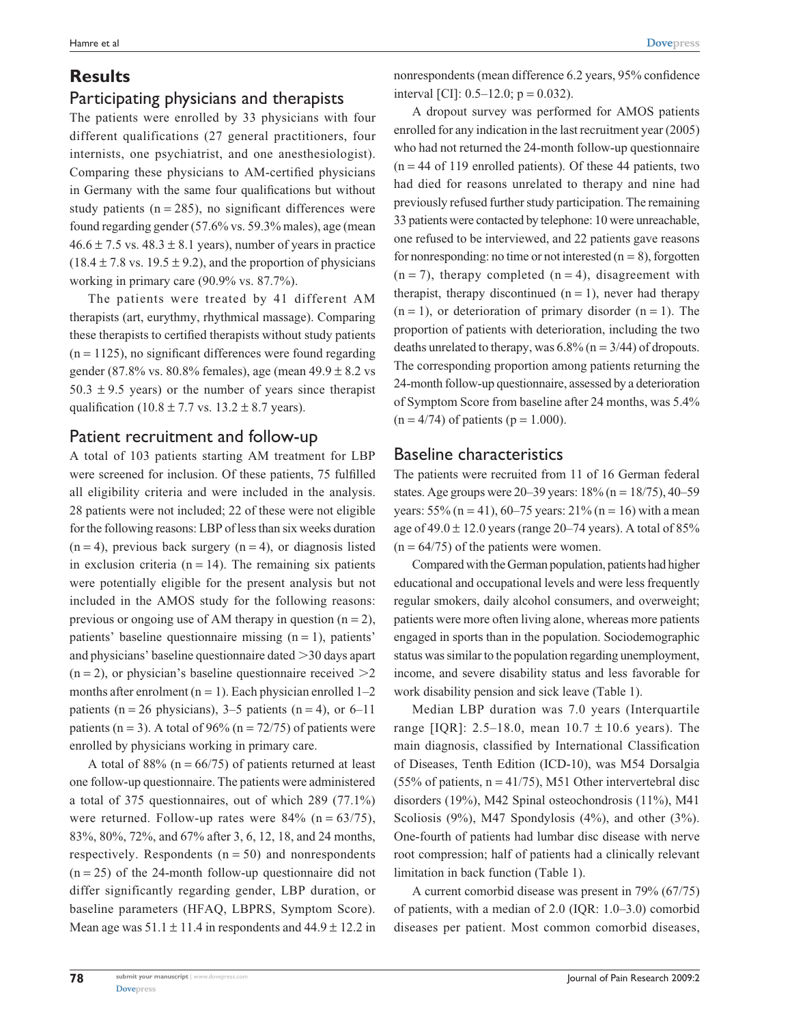# **Results**

## Participating physicians and therapists

The patients were enrolled by 33 physicians with four different qualifications (27 general practitioners, four internists, one psychiatrist, and one anesthesiologist). Comparing these physicians to AM-certified physicians in Germany with the same four qualifications but without study patients  $(n = 285)$ , no significant differences were found regarding gender (57.6% vs. 59.3% males), age (mean  $46.6 \pm 7.5$  vs.  $48.3 \pm 8.1$  years), number of years in practice  $(18.4 \pm 7.8 \text{ vs. } 19.5 \pm 9.2)$ , and the proportion of physicians working in primary care (90.9% vs. 87.7%).

The patients were treated by 41 different AM therapists (art, eurythmy, rhythmical massage). Comparing these therapists to certified therapists without study patients  $(n = 1125)$ , no significant differences were found regarding gender (87.8% vs. 80.8% females), age (mean  $49.9 \pm 8.2$  vs  $50.3 \pm 9.5$  years) or the number of years since therapist qualification (10.8  $\pm$  7.7 vs. 13.2  $\pm$  8.7 years).

#### Patient recruitment and follow-up

A total of 103 patients starting AM treatment for LBP were screened for inclusion. Of these patients, 75 fulfilled all eligibility criteria and were included in the analysis. 28 patients were not included; 22 of these were not eligible for the following reasons: LBP of less than six weeks duration  $(n = 4)$ , previous back surgery  $(n = 4)$ , or diagnosis listed in exclusion criteria ( $n = 14$ ). The remaining six patients were potentially eligible for the present analysis but not included in the AMOS study for the following reasons: previous or ongoing use of AM therapy in question  $(n = 2)$ , patients' baseline questionnaire missing  $(n = 1)$ , patients' and physicians' baseline questionnaire dated 30 days apart  $(n = 2)$ , or physician's baseline questionnaire received  $\geq 2$ months after enrolment  $(n = 1)$ . Each physician enrolled  $1-2$ patients (n = 26 physicians), 3–5 patients (n = 4), or 6–11 patients (n = 3). A total of 96% (n =  $72/75$ ) of patients were enrolled by physicians working in primary care.

A total of  $88\%$  (n =  $66/75$ ) of patients returned at least one follow-up questionnaire. The patients were administered a total of 375 questionnaires, out of which 289 (77.1%) were returned. Follow-up rates were  $84\%$  (n = 63/75), 83%, 80%, 72%, and 67% after 3, 6, 12, 18, and 24 months, respectively. Respondents  $(n = 50)$  and nonrespondents  $(n = 25)$  of the 24-month follow-up questionnaire did not differ significantly regarding gender, LBP duration, or baseline parameters (HFAQ, LBPRS, Symptom Score). Mean age was  $51.1 \pm 11.4$  in respondents and  $44.9 \pm 12.2$  in nonrespondents (mean difference 6.2 years, 95% confidence interval [CI]:  $0.5-12.0$ ;  $p = 0.032$ ).

A dropout survey was performed for AMOS patients enrolled for any indication in the last recruitment year (2005) who had not returned the 24-month follow-up questionnaire  $(n = 44$  of 119 enrolled patients). Of these 44 patients, two had died for reasons unrelated to therapy and nine had previously refused further study participation. The remaining 33 patients were contacted by telephone: 10 were unreachable, one refused to be interviewed, and 22 patients gave reasons for nonresponding: no time or not interested  $(n = 8)$ , forgotten  $(n = 7)$ , therapy completed  $(n = 4)$ , disagreement with therapist, therapy discontinued  $(n = 1)$ , never had therapy  $(n = 1)$ , or deterioration of primary disorder  $(n = 1)$ . The proportion of patients with deterioration, including the two deaths unrelated to therapy, was  $6.8\%$  (n = 3/44) of dropouts. The corresponding proportion among patients returning the 24-month follow-up questionnaire, assessed by a deterioration of Symptom Score from baseline after 24 months, was 5.4%  $(n = 4/74)$  of patients  $(p = 1.000)$ .

## Baseline characteristics

The patients were recruited from 11 of 16 German federal states. Age groups were  $20-39$  years:  $18\%$  (n =  $18/75$ ), 40-59 years:  $55\%$  (n = 41), 60–75 years:  $21\%$  (n = 16) with a mean age of  $49.0 \pm 12.0$  years (range  $20-74$  years). A total of  $85\%$  $(n = 64/75)$  of the patients were women.

Compared with the German population, patients had higher educational and occupational levels and were less frequently regular smokers, daily alcohol consumers, and overweight; patients were more often living alone, whereas more patients engaged in sports than in the population. Sociodemographic status was similar to the population regarding unemployment, income, and severe disability status and less favorable for work disability pension and sick leave (Table 1).

Median LBP duration was 7.0 years (Interquartile range [IQR]: 2.5–18.0, mean  $10.7 \pm 10.6$  years). The main diagnosis, classified by International Classification of Diseases, Tenth Edition (ICD-10), was M54 Dorsalgia (55% of patients,  $n = 41/75$ ), M51 Other intervertebral disc disorders (19%), M42 Spinal osteochondrosis (11%), M41 Scoliosis (9%), M47 Spondylosis (4%), and other (3%). One-fourth of patients had lumbar disc disease with nerve root compression; half of patients had a clinically relevant limitation in back function (Table 1).

A current comorbid disease was present in 79% (67/75) of patients, with a median of 2.0 (IQR: 1.0–3.0) comorbid diseases per patient. Most common comorbid diseases,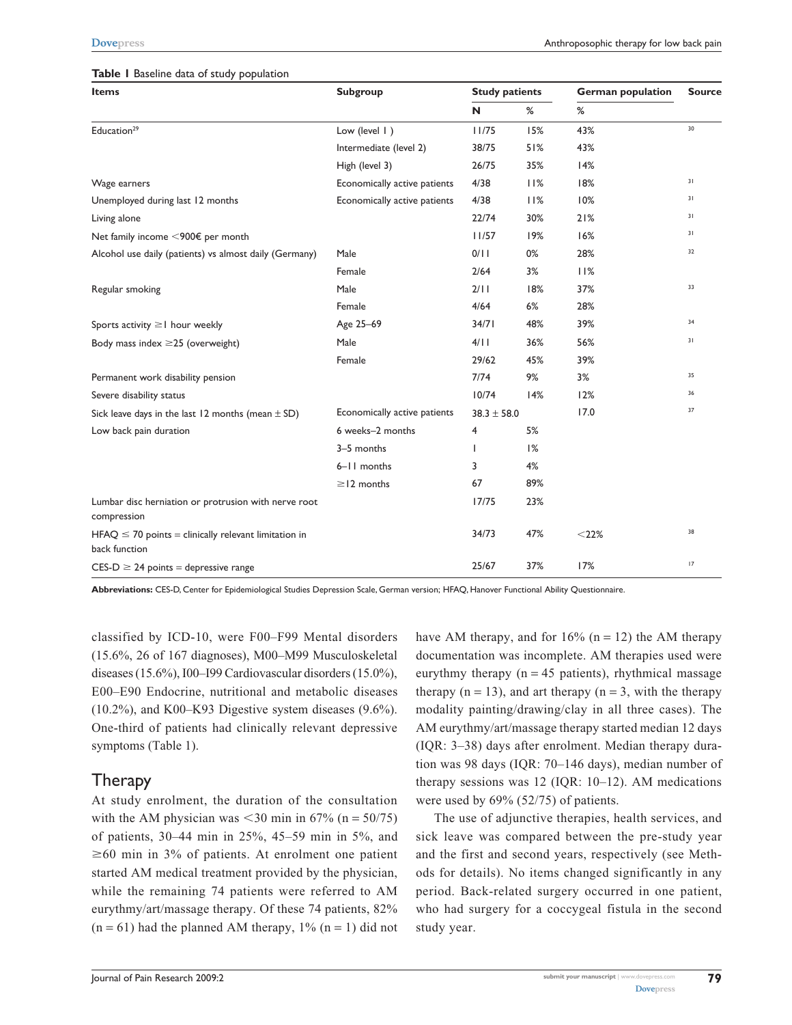#### **Table 1** Baseline data of study population

| <b>Items</b>                                                              | Subgroup                     | <b>Study patients</b> |     | <b>German population</b> | <b>Source</b> |
|---------------------------------------------------------------------------|------------------------------|-----------------------|-----|--------------------------|---------------|
|                                                                           |                              | N                     | %   | %                        |               |
| Education <sup>29</sup>                                                   | Low (level   )               | 11/75                 | 15% | 43%                      | 30            |
|                                                                           | Intermediate (level 2)       | 38/75                 | 51% | 43%                      |               |
|                                                                           | High (level 3)               | 26/75                 | 35% | 14%                      |               |
| Wage earners                                                              | Economically active patients | 4/38                  | 11% | 18%                      | 31            |
| Unemployed during last 12 months                                          | Economically active patients | 4/38                  | 11% | 10%                      | 31            |
| Living alone                                                              |                              | 22/74                 | 30% | 21%                      | 31            |
| Net family income $\leq$ 900€ per month                                   |                              | 11/57                 | 19% | 16%                      | 31            |
| Alcohol use daily (patients) vs almost daily (Germany)                    | Male                         | 0/11                  | 0%  | 28%                      | 32            |
|                                                                           | Female                       | 2/64                  | 3%  | 11%                      |               |
| Regular smoking                                                           | Male                         | 2/11                  | 18% | 37%                      | 33            |
|                                                                           | Female                       | 4/64                  | 6%  | 28%                      |               |
| Sports activity $\geq 1$ hour weekly                                      | Age 25-69                    | 34/71                 | 48% | 39%                      | 34            |
| Body mass index $\geq$ 25 (overweight)                                    | Male                         | 4/11                  | 36% | 56%                      | 31            |
|                                                                           | Female                       | 29/62                 | 45% | 39%                      |               |
| Permanent work disability pension                                         |                              | 7/74                  | 9%  | 3%                       | 35            |
| Severe disability status                                                  |                              | 10/74                 | 14% | 12%                      | 36            |
| Sick leave days in the last 12 months (mean $\pm$ SD)                     | Economically active patients | $38.3 \pm 58.0$       |     | 17.0                     | 37            |
| Low back pain duration                                                    | 6 weeks-2 months             | 4                     | 5%  |                          |               |
|                                                                           | 3-5 months                   | L                     | 1%  |                          |               |
|                                                                           | 6-11 months                  | 3                     | 4%  |                          |               |
|                                                                           | $\geq$ 12 months             | 67                    | 89% |                          |               |
| Lumbar disc herniation or protrusion with nerve root<br>compression       |                              | 17/75                 | 23% |                          |               |
| $HFAQ \le 70$ points = clinically relevant limitation in<br>back function |                              | 34/73                 | 47% | $<$ 22%                  | 38            |
| $CES-D \geq 24$ points = depressive range                                 |                              | 25/67                 | 37% | 17%                      | 17            |

**Abbreviations:** CES-D, Center for Epidemiological Studies Depression Scale, German version; HFAQ, Hanover Functional Ability Questionnaire.

classified by ICD-10, were F00–F99 Mental disorders (15.6%, 26 of 167 diagnoses), M00–M99 Musculoskeletal diseases (15.6%), I00–I99 Cardiovascular disorders (15.0%), E00–E90 Endocrine, nutritional and metabolic diseases (10.2%), and K00–K93 Digestive system diseases (9.6%). One-third of patients had clinically relevant depressive symptoms (Table 1).

## Therapy

At study enrolment, the duration of the consultation with the AM physician was  $\leq 30$  min in 67% (n = 50/75) of patients, 30–44 min in 25%, 45–59 min in 5%, and  $\geq 60$  min in 3% of patients. At enrolment one patient started AM medical treatment provided by the physician, while the remaining 74 patients were referred to AM eurythmy/art/massage therapy. Of these 74 patients, 82%  $(n = 61)$  had the planned AM therapy,  $1\%$   $(n = 1)$  did not

have AM therapy, and for  $16\%$  (n = 12) the AM therapy documentation was incomplete. AM therapies used were eurythmy therapy ( $n = 45$  patients), rhythmical massage therapy ( $n = 13$ ), and art therapy ( $n = 3$ , with the therapy modality painting/drawing/clay in all three cases). The AM eurythmy/art/massage therapy started median 12 days (IQR: 3–38) days after enrolment. Median therapy duration was 98 days (IQR: 70–146 days), median number of therapy sessions was 12 (IQR: 10–12). AM medications were used by 69% (52/75) of patients.

The use of adjunctive therapies, health services, and sick leave was compared between the pre-study year and the first and second years, respectively (see Methods for details). No items changed significantly in any period. Back-related surgery occurred in one patient, who had surgery for a coccygeal fistula in the second study year.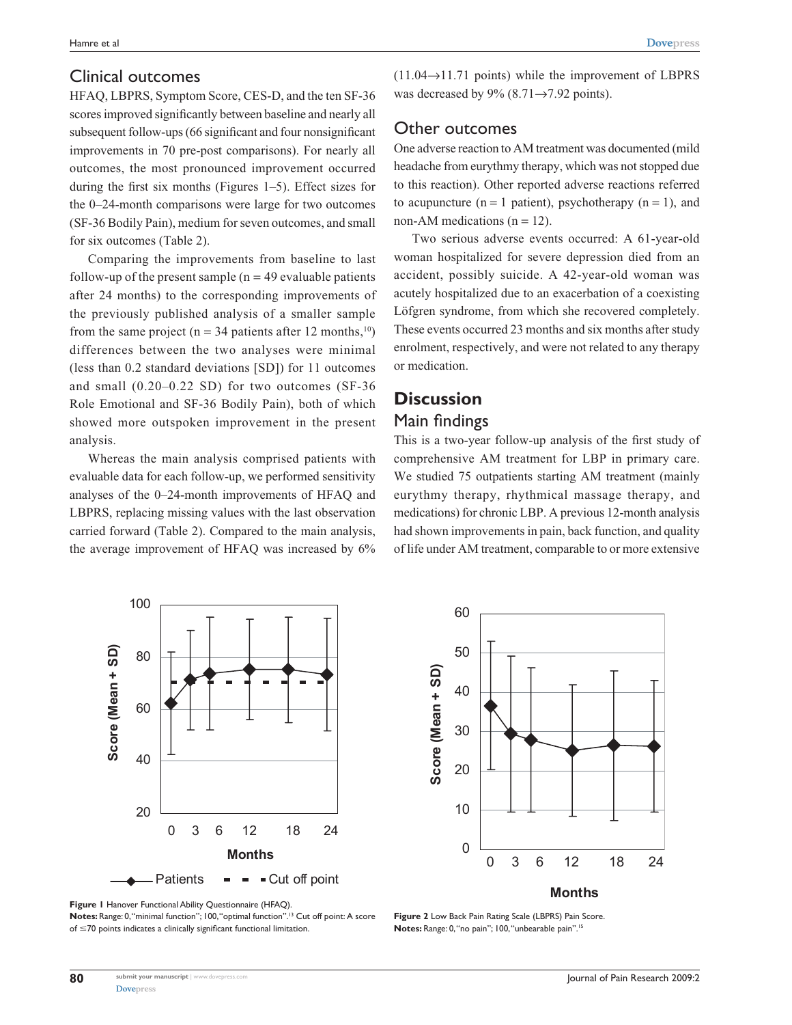#### Clinical outcomes

HFAQ, LBPRS, Symptom Score, CES-D, and the ten SF-36 scores improved significantly between baseline and nearly all subsequent follow-ups (66 significant and four nonsignificant improvements in 70 pre-post comparisons). For nearly all outcomes, the most pronounced improvement occurred during the first six months (Figures 1–5). Effect sizes for the 0–24-month comparisons were large for two outcomes (SF-36 Bodily Pain), medium for seven outcomes, and small for six outcomes (Table 2).

Comparing the improvements from baseline to last follow-up of the present sample  $(n = 49$  evaluable patients after 24 months) to the corresponding improvements of the previously published analysis of a smaller sample from the same project ( $n = 34$  patients after 12 months,<sup>10</sup>) differences between the two analyses were minimal (less than 0.2 standard deviations [SD]) for 11 outcomes and small (0.20–0.22 SD) for two outcomes (SF-36 Role Emotional and SF-36 Bodily Pain), both of which showed more outspoken improvement in the present analysis.

Whereas the main analysis comprised patients with evaluable data for each follow-up, we performed sensitivity analyses of the 0–24-month improvements of HFAQ and LBPRS, replacing missing values with the last observation carried forward (Table 2). Compared to the main analysis, the average improvement of HFAQ was increased by 6%  $(11.04 \rightarrow 11.71$  points) while the improvement of LBPRS was decreased by 9%  $(8.71 \rightarrow 7.92 \text{ points})$ .

#### Other outcomes

One adverse reaction to AM treatment was documented (mild headache from eurythmy therapy, which was not stopped due to this reaction). Other reported adverse reactions referred to acupuncture ( $n = 1$  patient), psychotherapy ( $n = 1$ ), and non-AM medications ( $n = 12$ ).

Two serious adverse events occurred: A 61-year-old woman hospitalized for severe depression died from an accident, possibly suicide. A 42-year-old woman was acutely hospitalized due to an exacerbation of a coexisting Löfgren syndrome, from which she recovered completely. These events occurred 23 months and six months after study enrolment, respectively, and were not related to any therapy or medication.

# **Discussion** Main findings

This is a two-year follow-up analysis of the first study of comprehensive AM treatment for LBP in primary care. We studied 75 outpatients starting AM treatment (mainly eurythmy therapy, rhythmical massage therapy, and medications) for chronic LBP. A previous 12-month analysis had shown improvements in pain, back function, and quality of life under AM treatment, comparable to or more extensive





**Notes:** Range: 0, "minimal function"; 100, "optimal function".13 Cut off point: A score of 70 points indicates a clinically significant functional limitation.



**Figure 2** Low Back Pain Rating Scale (LBPRS) Pain Score. **Notes:** Range: 0, "no pain"; 100, "unbearable pain".15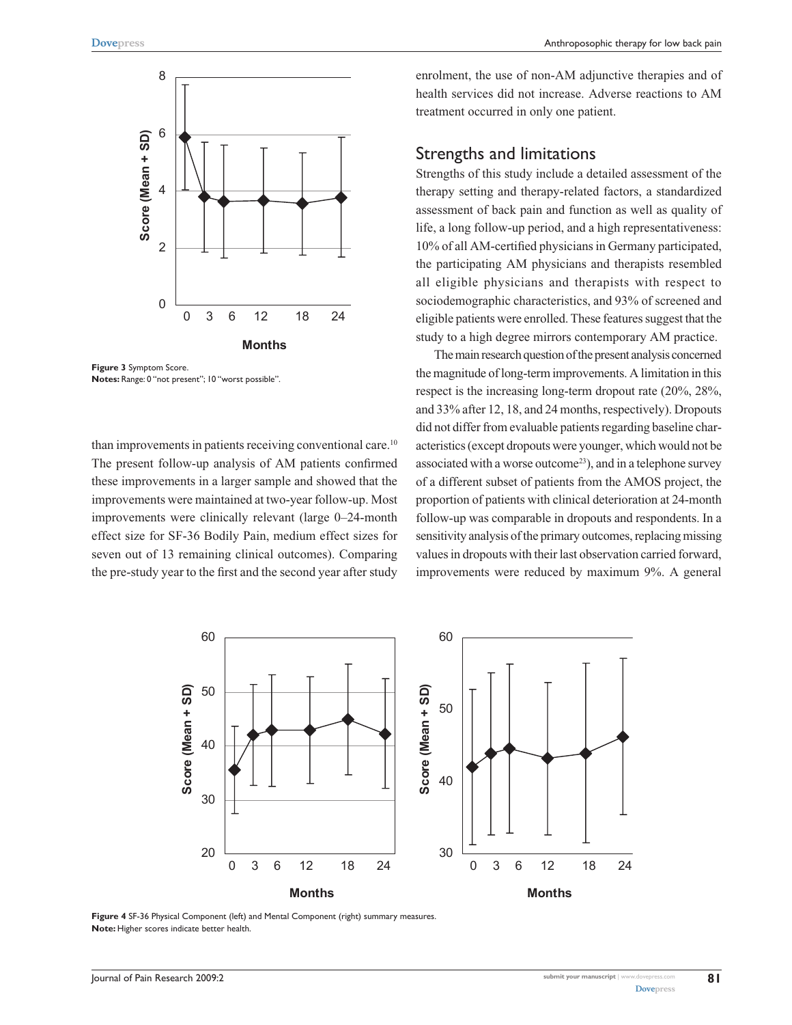

**Figure 3** Symptom Score. **Notes:** Range: 0 "not present"; 10 "worst possible".

than improvements in patients receiving conventional care.<sup>10</sup> The present follow-up analysis of AM patients confirmed these improvements in a larger sample and showed that the improvements were maintained at two-year follow-up. Most improvements were clinically relevant (large 0–24-month effect size for SF-36 Bodily Pain, medium effect sizes for seven out of 13 remaining clinical outcomes). Comparing the pre-study year to the first and the second year after study enrolment, the use of non-AM adjunctive therapies and of health services did not increase. Adverse reactions to AM treatment occurred in only one patient.

#### Strengths and limitations

Strengths of this study include a detailed assessment of the therapy setting and therapy-related factors, a standardized assessment of back pain and function as well as quality of life, a long follow-up period, and a high representativeness: 10% of all AM-certified physicians in Germany participated, the participating AM physicians and therapists resembled all eligible physicians and therapists with respect to sociodemographic characteristics, and 93% of screened and eligible patients were enrolled. These features suggest that the study to a high degree mirrors contemporary AM practice.

The main research question of the present analysis concerned the magnitude of long-term improvements. A limitation in this respect is the increasing long-term dropout rate (20%, 28%, and 33% after 12, 18, and 24 months, respectively). Dropouts did not differ from evaluable patients regarding baseline characteristics (except dropouts were younger, which would not be associated with a worse outcome<sup>23</sup>), and in a telephone survey of a different subset of patients from the AMOS project, the proportion of patients with clinical deterioration at 24-month follow-up was comparable in dropouts and respondents. In a sensitivity analysis of the primary outcomes, replacing missing values in dropouts with their last observation carried forward, improvements were reduced by maximum 9%. A general



**Figure 4** SF-36 Physical Component (left) and Mental Component (right) summary measures. **Note:** Higher scores indicate better health.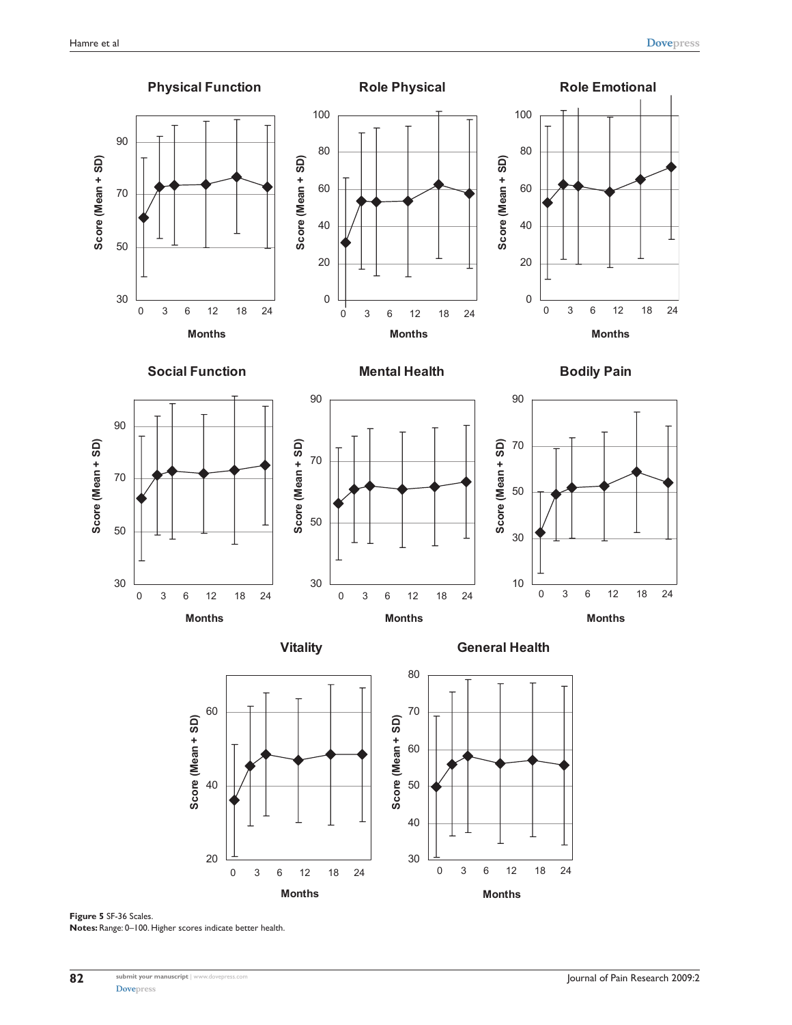



**Figure 5** SF-36 Scales. **Notes:** Range: 0–100. Higher scores indicate better health.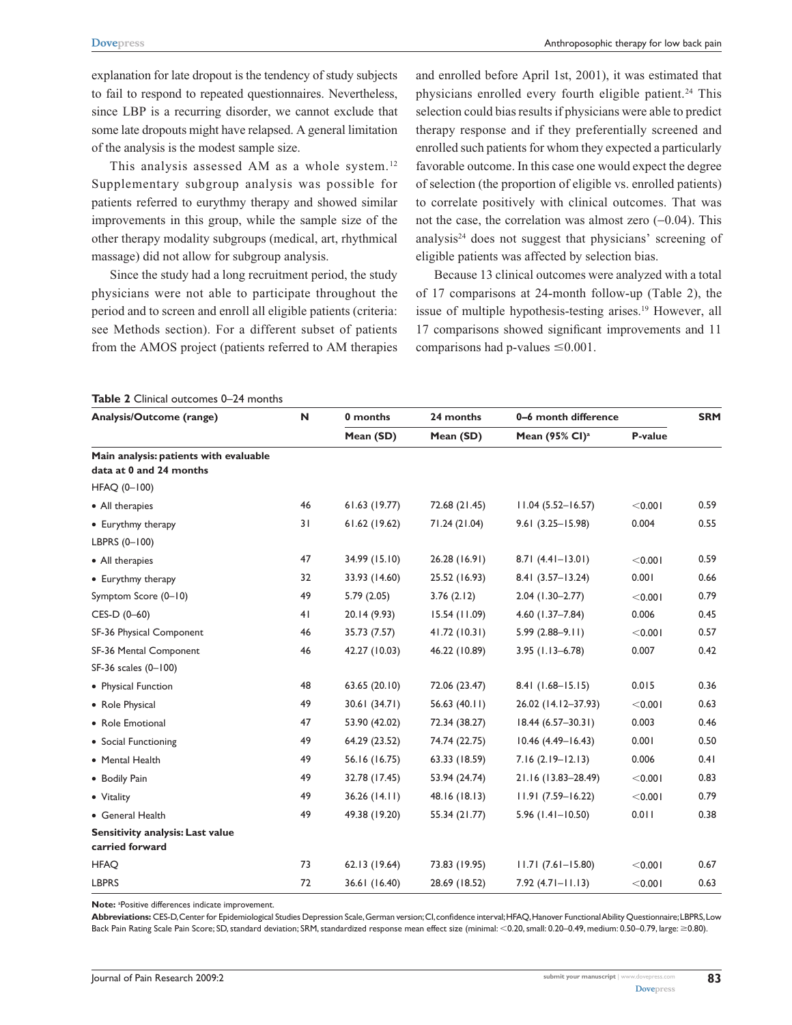explanation for late dropout is the tendency of study subjects to fail to respond to repeated questionnaires. Nevertheless, since LBP is a recurring disorder, we cannot exclude that some late dropouts might have relapsed. A general limitation of the analysis is the modest sample size.

This analysis assessed AM as a whole system.<sup>12</sup> Supplementary subgroup analysis was possible for patients referred to eurythmy therapy and showed similar improvements in this group, while the sample size of the other therapy modality subgroups (medical, art, rhythmical massage) did not allow for subgroup analysis.

Since the study had a long recruitment period, the study physicians were not able to participate throughout the period and to screen and enroll all eligible patients (criteria: see Methods section). For a different subset of patients from the AMOS project (patients referred to AM therapies and enrolled before April 1st, 2001), it was estimated that physicians enrolled every fourth eligible patient.<sup>24</sup> This selection could bias results if physicians were able to predict therapy response and if they preferentially screened and enrolled such patients for whom they expected a particularly favorable outcome. In this case one would expect the degree of selection (the proportion of eligible vs. enrolled patients) to correlate positively with clinical outcomes. That was not the case, the correlation was almost zero  $(-0.04)$ . This analysis $24$  does not suggest that physicians' screening of eligible patients was affected by selection bias.

Because 13 clinical outcomes were analyzed with a total of 17 comparisons at 24-month follow-up (Table 2), the issue of multiple hypothesis-testing arises.<sup>19</sup> However, all 17 comparisons showed significant improvements and 11 comparisons had p-values  $\leq 0.001$ .

#### **Table 2** Clinical outcomes 0–24 months

| Analysis/Outcome (range)                                          | N  | 0 months      | 24 months       | 0-6 month difference       | <b>SRM</b> |      |
|-------------------------------------------------------------------|----|---------------|-----------------|----------------------------|------------|------|
|                                                                   |    | Mean (SD)     | Mean (SD)       | Mean (95% CI) <sup>a</sup> | P-value    |      |
| Main analysis: patients with evaluable<br>data at 0 and 24 months |    |               |                 |                            |            |      |
| HFAQ (0-100)                                                      |    |               |                 |                            |            |      |
| • All therapies                                                   | 46 | 61.63(19.77)  | 72.68 (21.45)   | $11.04(5.52 - 16.57)$      | < 0.001    | 0.59 |
| • Eurythmy therapy                                                | 31 | 61.62(19.62)  | 71.24 (21.04)   | 9.61 (3.25-15.98)          | 0.004      | 0.55 |
| LBPRS (0-100)                                                     |    |               |                 |                            |            |      |
| • All therapies                                                   | 47 | 34.99 (15.10) | 26.28 (16.91)   | $8.71(4.41 - 13.01)$       | < 0.001    | 0.59 |
| • Eurythmy therapy                                                | 32 | 33.93 (14.60) | 25.52 (16.93)   | 8.41 (3.57-13.24)          | 0.001      | 0.66 |
| Symptom Score (0-10)                                              | 49 | 5.79(2.05)    | 3.76(2.12)      | 2.04 (1.30-2.77)           | < 0.001    | 0.79 |
| CES-D (0-60)                                                      | 41 | 20.14 (9.93)  | 15.54 (11.09)   | 4.60 (1.37-7.84)           | 0.006      | 0.45 |
| SF-36 Physical Component                                          | 46 | 35.73 (7.57)  | 41.72 (10.31)   | $5.99(2.88 - 9.11)$        | < 0.001    | 0.57 |
| SF-36 Mental Component                                            | 46 | 42.27 (10.03) | 46.22 (10.89)   | $3.95$ (1.13-6.78)         | 0.007      | 0.42 |
| SF-36 scales (0-100)                                              |    |               |                 |                            |            |      |
| • Physical Function                                               | 48 | 63.65 (20.10) | 72.06 (23.47)   | 8.41 (1.68-15.15)          | 0.015      | 0.36 |
| • Role Physical                                                   | 49 | 30.61(34.71)  | 56.63 $(40.11)$ | 26.02 (14.12-37.93)        | < 0.001    | 0.63 |
| • Role Emotional                                                  | 47 | 53.90 (42.02) | 72.34 (38.27)   | $18.44(6.57-30.31)$        | 0.003      | 0.46 |
| • Social Functioning                                              | 49 | 64.29 (23.52) | 74.74 (22.75)   | $10.46$ $(4.49 - 16.43)$   | 0.001      | 0.50 |
| • Mental Health                                                   | 49 | 56.16 (16.75) | 63.33 (18.59)   | $7.16(2.19 - 12.13)$       | 0.006      | 0.41 |
| • Bodily Pain                                                     | 49 | 32.78 (17.45) | 53.94 (24.74)   | 21.16 (13.83-28.49)        | < 0.001    | 0.83 |
| • Vitality                                                        | 49 | 36.26(14.11)  | 48.16 (18.13)   | $11.91(7.59 - 16.22)$      | < 0.001    | 0.79 |
| • General Health                                                  | 49 | 49.38 (19.20) | 55.34 (21.77)   | $5.96$ (1.41-10.50)        | 0.011      | 0.38 |
| Sensitivity analysis: Last value<br>carried forward               |    |               |                 |                            |            |      |
| <b>HFAQ</b>                                                       | 73 | 62.13 (19.64) | 73.83 (19.95)   | $11.71(7.61 - 15.80)$      | < 0.001    | 0.67 |
| <b>LBPRS</b>                                                      | 72 | 36.61 (16.40) | 28.69 (18.52)   | $7.92(4.71 - 11.13)$       | < 0.001    | 0.63 |

Note: <sup>a</sup>Positive differences indicate improvement.

**Abbreviations:** CES-D, Center for Epidemiological Studies Depression Scale, German version; CI, confidence interval; HFAQ, Hanover Functional Ability Questionnaire; LBPRS, Low Back Pain Rating Scale Pain Score; SD, standard deviation; SRM, standardized response mean effect size (minimal: <0.20, small: 0.20–0.49, medium: 0.50–0.79, large: ≥0.80).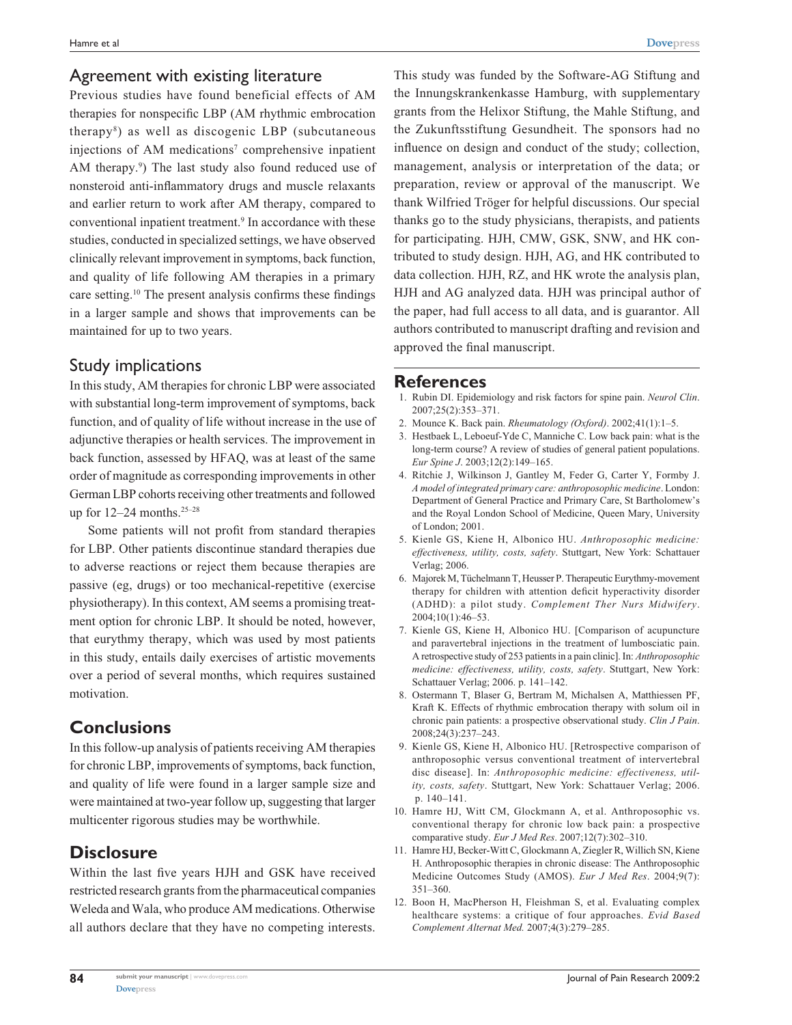#### Agreement with existing literature

Previous studies have found beneficial effects of AM therapies for nonspecific LBP (AM rhythmic embrocation therapy8 ) as well as discogenic LBP (subcutaneous injections of AM medications<sup>7</sup> comprehensive inpatient AM therapy.<sup>9</sup>) The last study also found reduced use of nonsteroid anti-inflammatory drugs and muscle relaxants and earlier return to work after AM therapy, compared to conventional inpatient treatment.<sup>9</sup> In accordance with these studies, conducted in specialized settings, we have observed clinically relevant improvement in symptoms, back function, and quality of life following AM therapies in a primary care setting.10 The present analysis confirms these findings in a larger sample and shows that improvements can be maintained for up to two years.

## Study implications

In this study, AM therapies for chronic LBP were associated with substantial long-term improvement of symptoms, back function, and of quality of life without increase in the use of adjunctive therapies or health services. The improvement in back function, assessed by HFAQ, was at least of the same order of magnitude as corresponding improvements in other German LBP cohorts receiving other treatments and followed up for  $12-24$  months.<sup>25-28</sup>

Some patients will not profit from standard therapies for LBP. Other patients discontinue standard therapies due to adverse reactions or reject them because therapies are passive (eg, drugs) or too mechanical-repetitive (exercise physiotherapy). In this context, AM seems a promising treatment option for chronic LBP. It should be noted, however, that eurythmy therapy, which was used by most patients in this study, entails daily exercises of artistic movements over a period of several months, which requires sustained motivation.

## **Conclusions**

In this follow-up analysis of patients receiving AM therapies for chronic LBP, improvements of symptoms, back function, and quality of life were found in a larger sample size and were maintained at two-year follow up, suggesting that larger multicenter rigorous studies may be worthwhile.

# **Disclosure**

Within the last five years HJH and GSK have received restricted research grants from the pharmaceutical companies Weleda and Wala, who produce AM medications. Otherwise all authors declare that they have no competing interests.

This study was funded by the Software-AG Stiftung and the Innungskrankenkasse Hamburg, with supplementary grants from the Helixor Stiftung, the Mahle Stiftung, and the Zukunftsstiftung Gesundheit. The sponsors had no influence on design and conduct of the study; collection, management, analysis or interpretation of the data; or preparation, review or approval of the manuscript. We thank Wilfried Tröger for helpful discussions. Our special thanks go to the study physicians, therapists, and patients for participating. HJH, CMW, GSK, SNW, and HK contributed to study design. HJH, AG, and HK contributed to data collection. HJH, RZ, and HK wrote the analysis plan, HJH and AG analyzed data. HJH was principal author of the paper, had full access to all data, and is guarantor. All authors contributed to manuscript drafting and revision and approved the final manuscript.

#### **References**

- 1. Rubin DI. Epidemiology and risk factors for spine pain. *Neurol Clin*. 2007;25(2):353–371.
- 2. Mounce K. Back pain. *Rheumatology (Oxford)*. 2002;41(1):1–5.
- 3. Hestbaek L, Leboeuf-Yde C, Manniche C. Low back pain: what is the long-term course? A review of studies of general patient populations. *Eur Spine J*. 2003;12(2):149–165.
- 4. Ritchie J, Wilkinson J, Gantley M, Feder G, Carter Y, Formby J. *A model of integrated primary care: anthroposophic medicine*. London: Department of General Practice and Primary Care, St Bartholomew's and the Royal London School of Medicine, Queen Mary, University of London; 2001.
- 5. Kienle GS, Kiene H, Albonico HU. *Anthroposophic medicine: effectiveness, utility, costs, safety*. Stuttgart, New York: Schattauer Verlag; 2006.
- 6. Majorek M, Tüchelmann T, Heusser P. Therapeutic Eurythmy-movement therapy for children with attention deficit hyperactivity disorder (ADHD): a pilot study. *Complement Ther Nurs Midwifery*. 2004;10(1):46–53.
- 7. Kienle GS, Kiene H, Albonico HU. [Comparison of acupuncture and paravertebral injections in the treatment of lumbosciatic pain. A retrospective study of 253 patients in a pain clinic]. In: *Anthroposophic medicine: effectiveness, utility, costs, safety*. Stuttgart, New York: Schattauer Verlag; 2006. p. 141–142.
- 8. Ostermann T, Blaser G, Bertram M, Michalsen A, Matthiessen PF, Kraft K. Effects of rhythmic embrocation therapy with solum oil in chronic pain patients: a prospective observational study. *Clin J Pain*. 2008;24(3):237–243.
- 9. Kienle GS, Kiene H, Albonico HU. [Retrospective comparison of anthroposophic versus conventional treatment of intervertebral disc disease]. In: *Anthroposophic medicine: effectiveness, utility, costs, safety*. Stuttgart, New York: Schattauer Verlag; 2006. p. 140–141.
- 10. Hamre HJ, Witt CM, Glockmann A, et al. Anthroposophic vs. conventional therapy for chronic low back pain: a prospective comparative study. *Eur J Med Res*. 2007;12(7):302–310.
- 11. Hamre HJ, Becker-Witt C, Glockmann A, Ziegler R, Willich SN, Kiene H. Anthroposophic therapies in chronic disease: The Anthroposophic Medicine Outcomes Study (AMOS). *Eur J Med Res*. 2004;9(7): 351–360.
- 12. Boon H, MacPherson H, Fleishman S, et al. Evaluating complex healthcare systems: a critique of four approaches. *Evid Based Complement Alternat Med.* 2007;4(3):279–285.